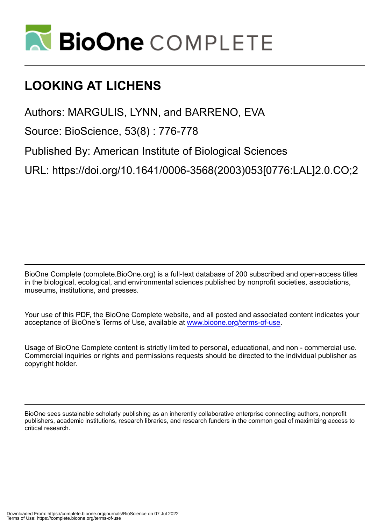

# **LOOKING AT LICHENS**

Authors: MARGULIS, LYNN, and BARRENO, EVA

Source: BioScience, 53(8) : 776-778

Published By: American Institute of Biological Sciences

URL: https://doi.org/10.1641/0006-3568(2003)053[0776:LAL]2.0.CO;2

BioOne Complete (complete.BioOne.org) is a full-text database of 200 subscribed and open-access titles in the biological, ecological, and environmental sciences published by nonprofit societies, associations, museums, institutions, and presses.

Your use of this PDF, the BioOne Complete website, and all posted and associated content indicates your acceptance of BioOne's Terms of Use, available at www.bioone.org/terms-of-use.

Usage of BioOne Complete content is strictly limited to personal, educational, and non - commercial use. Commercial inquiries or rights and permissions requests should be directed to the individual publisher as copyright holder.

BioOne sees sustainable scholarly publishing as an inherently collaborative enterprise connecting authors, nonprofit publishers, academic institutions, research libraries, and research funders in the common goal of maximizing access to critical research.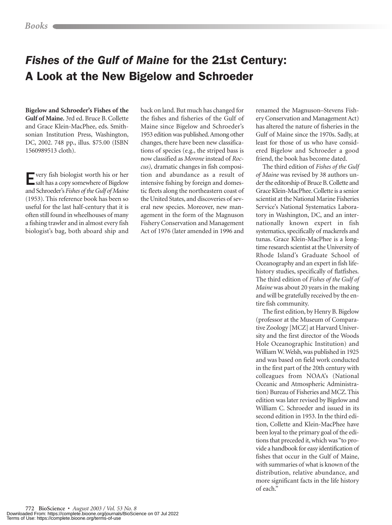## *Fishes of the Gulf of Maine* for the 21st Century: A Look at the New Bigelow and Schroeder

**Bigelow and Schroeder's Fishes of the Gulf of Maine.** 3rd ed. Bruce B. Collette and Grace Klein-MacPhee, eds. Smithsonian Institution Press, Washington, DC, 2002. 748 pp., illus. \$75.00 (ISBN 1560989513 cloth).

Every fish biologist worth his or her salt has a copy somewhere of Bigelow and Schroeder's *Fishes of the Gulf of Maine* (1953). This reference book has been so useful for the last half-century that it is often still found in wheelhouses of many a fishing trawler and in almost every fish biologist's bag, both aboard ship and

back on land. But much has changed for the fishes and fisheries of the Gulf of Maine since Bigelow and Schroeder's 1953 edition was published.Among other changes, there have been new classifications of species (e.g., the striped bass is now classified as *Morone*instead of *Roccus),* dramatic changes in fish composition and abundance as a result of intensive fishing by foreign and domestic fleets along the northeastern coast of the United States, and discoveries of several new species. Moreover, new management in the form of the Magnuson Fishery Conservation and Management Act of 1976 (later amended in 1996 and

renamed the Magnuson–Stevens Fishery Conservation and Management Act) has altered the nature of fisheries in the Gulf of Maine since the 1970s. Sadly, at least for those of us who have considered Bigelow and Schroeder a good friend, the book has become dated.

The third edition of *Fishes of the Gulf of Maine* was revised by 38 authors under the editorship of Bruce B. Collette and Grace Klein-MacPhee. Collette is a senior scientist at the National Marine Fisheries Service's National Systematics Laboratory in Washington, DC, and an internationally known expert in fish systematics, specifically of mackerels and tunas. Grace Klein-MacPhee is a longtime research scientist at the University of Rhode Island's Graduate School of Oceanography and an expert in fish lifehistory studies, specifically of flatfishes. The third edition of *Fishes of the Gulf of Maine* was about 20 years in the making and will be gratefully received by the entire fish community.

The first edition, by Henry B. Bigelow (professor at the Museum of Comparative Zoology [MCZ] at Harvard University and the first director of the Woods Hole Oceanographic Institution) and William W.Welsh, was published in 1925 and was based on field work conducted in the first part of the 20th century with colleagues from NOAA's (National Oceanic and Atmospheric Administration) Bureau of Fisheries and MCZ. This edition was later revised by Bigelow and William C. Schroeder and issued in its second edition in 1953. In the third edition, Collette and Klein-MacPhee have been loyal to the primary goal of the editions that preceded it, which was "to provide a handbook for easy identification of fishes that occur in the Gulf of Maine, with summaries of what is known of the distribution, relative abundance, and more significant facts in the life history of each."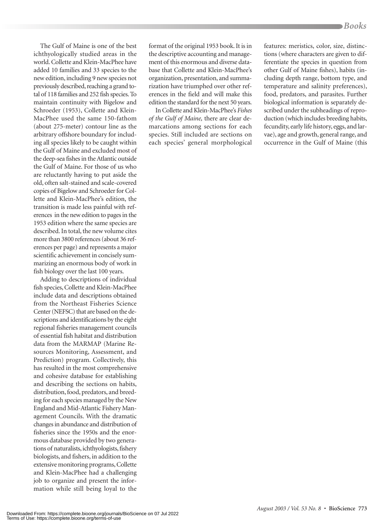The Gulf of Maine is one of the best ichthyologically studied areas in the world. Collette and Klein-MacPhee have added 10 families and 33 species to the new edition, including 9 new species not previously described, reaching a grand total of 118 families and 252 fish species. To maintain continuity with Bigelow and Schroeder (1953), Collette and Klein-MacPhee used the same 150-fathom (about 275-meter) contour line as the arbitrary offshore boundary for including all species likely to be caught within the Gulf of Maine and excluded most of the deep-sea fishes in the Atlantic outside the Gulf of Maine. For those of us who are reluctantly having to put aside the old, often salt-stained and scale-covered copies of Bigelow and Schroeder for Collette and Klein-MacPhee's edition, the transition is made less painful with references in the new edition to pages in the 1953 edition where the same species are described. In total, the new volume cites more than 3800 references (about 36 references per page) and represents a major scientific achievement in concisely summarizing an enormous body of work in fish biology over the last 100 years.

Adding to descriptions of individual fish species, Collette and Klein-MacPhee include data and descriptions obtained from the Northeast Fisheries Science Center (NEFSC) that are based on the descriptions and identifications by the eight regional fisheries management councils of essential fish habitat and distribution data from the MARMAP (Marine Resources Monitoring, Assessment, and Prediction) program. Collectively, this has resulted in the most comprehensive and cohesive database for establishing and describing the sections on habits, distribution, food, predators, and breeding for each species managed by the New England and Mid-Atlantic Fishery Management Councils. With the dramatic changes in abundance and distribution of fisheries since the 1950s and the enormous database provided by two generations of naturalists, ichthyologists, fishery biologists, and fishers, in addition to the extensive monitoring programs, Collette and Klein-MacPhee had a challenging job to organize and present the information while still being loyal to the

format of the original 1953 book. It is in the descriptive accounting and management of this enormous and diverse database that Collette and Klein-MacPhee's organization, presentation, and summarization have triumphed over other references in the field and will make this edition the standard for the next 50 years.

InCollette and Klein-MacPhee's *Fishes of the Gulf of Maine,* there are clear demarcations among sections for each species. Still included are sections on each species' general morphological

features: meristics, color, size, distinctions (where characters are given to differentiate the species in question from other Gulf of Maine fishes), habits (including depth range, bottom type, and temperature and salinity preferences), food, predators, and parasites. Further biological information is separately described under the subheadings of reproduction (which includes breeding habits, fecundity, early life history, eggs, and larvae), age and growth, general range, and occurrence in the Gulf of Maine (this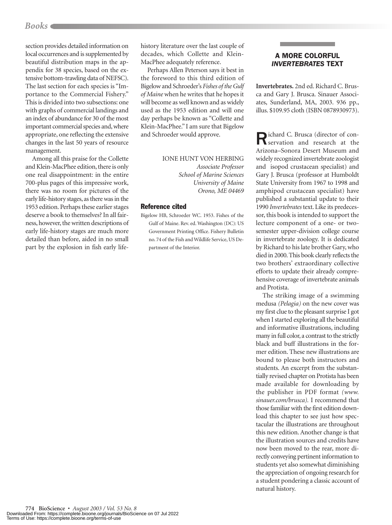## *Books*

section provides detailed information on local occurrences and is supplemented by beautiful distribution maps in the appendix for 38 species, based on the extensive bottom-trawling data of NEFSC). The last section for each species is "Importance to the Commercial Fishery." This is divided into two subsections: one with graphs of commercial landings and an index of abundance for 30 of the most important commercial species and, where appropriate, one reflecting the extensive changes in the last 50 years of resource management.

Among all this praise for the Collette and Klein-MacPhee edition, there is only one real disappointment: in the entire 700-plus pages of this impressive work, there was no room for pictures of the early life-history stages, as there was in the 1953 edition. Perhaps these earlier stages deserve a book to themselves? In all fairness, however, the written descriptions of early life-history stages are much more detailed than before, aided in no small part by the explosion in fish early lifehistory literature over the last couple of decades, which Collette and Klein-MacPhee adequately reference.

Perhaps Allen Peterson says it best in the foreword to this third edition of Bigelow and Schroeder's *Fishes of the Gulf of Maine* when he writes that he hopes it will become as well known and as widely used as the 1953 edition and will one day perhaps be known as "Collette and Klein-MacPhee." I am sure that Bigelow and Schroeder would approve.

IONE HUNT VON HERBING

*Associate Professor School of Marine Sciences University of Maine Orono, ME 04469*

#### Reference cited

Bigelow HB, Schroeder WC. 1953. Fishes of the Gulf of Maine. Rev. ed. Washington (DC): US Government Printing Office. Fishery Bulletin no. 74 of the Fish and Wildlife Service, US Department of the Interior.

## A MORE COLORFUL *INVERTEBRATES* TEXT

**Invertebrates.** 2nd ed. Richard C. Brusca and Gary J. Brusca. Sinauer Associates, Sunderland, MA, 2003. 936 pp., illus. \$109.95 cloth (ISBN 0878930973).

Richard C. Brusca (director of con-servation and research at the Arizona–Sonora Desert Museum and widely recognized invertebrate zoologist and isopod crustacean specialist) and Gary J. Brusca (professor at Humboldt State University from 1967 to 1998 and amphipod crustacean specialist) have published a substantial update to their 1990 *Invertebrates* text. Like its predecessor, this book is intended to support the lecture component of a one- or twosemester upper-division college course in invertebrate zoology. It is dedicated by Richard to his late brother Gary, who died in 2000. This book clearly reflects the two brothers' extraordinary collective efforts to update their already comprehensive coverage of invertebrate animals and Protista.

The striking image of a swimming medusa *(Pelagia)* on the new cover was my first clue to the pleasant surprise I got when I started exploring all the beautiful and informative illustrations, including many in full color, a contrast to the strictly black and buff illustrations in the former edition. These new illustrations are bound to please both instructors and students. An excerpt from the substantially revised chapter on Protista has been made available for downloading by the publisher in PDF format *(www. sinauer.com/brusca).* I recommend that those familiar with the first edition download this chapter to see just how spectacular the illustrations are throughout this new edition. Another change is that the illustration sources and credits have now been moved to the rear, more directly conveying pertinent information to students yet also somewhat diminishing the appreciation of ongoing research for a student pondering a classic account of natural history.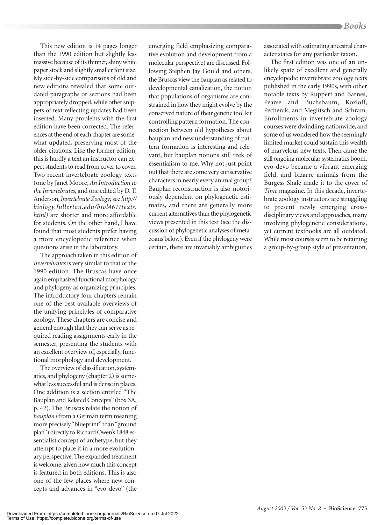This new edition is 14 pages longer than the 1990 edition but slightly less massive because of its thinner, shiny white paper stock and slightly smaller font size. My side-by-side comparisons of old and new editions revealed that some outdated paragraphs or sections had been appropriately dropped, while other snippets of text reflecting updates had been inserted. Many problems with the first edition have been corrected. The references at the end of each chapter are somewhat updated, preserving most of the older citations. Like the former edition, this is hardly a text an instructor can expect students to read from cover to cover. Two recent invertebrate zoology texts (one by Janet Moore, *An Introduction to the Invertebrates,* and one edited by D. T. Anderson,*Invertebrate Zoology;*see *http:// biology.fullerton.edu/biol461/texts. html)* are shorter and more affordable for students. On the other hand, I have found that most students prefer having a more encyclopedic reference when questions arise in the laboratory.

The approach taken in this edition of *Invertebrates* is very similar to that of the 1990 edition. The Bruscas have once again emphasized functional morphology and phylogeny as organizing principles. The introductory four chapters remain one of the best available overviews of the unifying principles of comparative zoology. These chapters are concise and general enough that they can serve as required reading assignments early in the semester, presenting the students with an excellent overview of, especially, functional morphology and development.

The overview of classification, systematics, and phylogeny (chapter 2) is somewhat less successful and is dense in places. One addition is a section entitled "The Bauplan and Related Concepts"(box 3A, p. 42). The Bruscas relate the notion of *bauplan* (from a German term meaning more precisely "blueprint" than "ground plan") directly to Richard Owen's 1848 essentialist concept of archetype, but they attempt to place it in a more evolutionary perspective. The expanded treatment is welcome, given how much this concept is featured in both editions. This is also one of the few places where new concepts and advances in "evo-devo" (the

emerging field emphasizing comparative evolution and development from a molecular perspective) are discussed. Following Stephen Jay Gould and others, the Bruscas view the bauplan as related to developmental canalization, the notion that populations of organisms are constrained in how they might evolve by the conserved nature of their genetic tool kit controlling pattern formation. The connection between old hypotheses about bauplan and new understanding of pattern formation is interesting and relevant, but bauplan notions still reek of essentialism to me. Why not just point out that there are some very conservative characters in nearly every animal group? Bauplan reconstruction is also notoriously dependent on phylogenetic estimates, and there are generally more current alternatives than the phylogenetic views presented in this text (see the discussion of phylogenetic analyses of metazoans below). Even if the phylogeny were certain, there are invariably ambiguities associated with estimating ancestral character states for any particular taxon.

The first edition was one of an unlikely spate of excellent and generally encyclopedic invertebrate zoology texts published in the early 1990s, with other notable texts by Ruppert and Barnes, Pearse and Buchsbaum, Kozloff, Pechenik, and Meglitsch and Schram. Enrollments in invertebrate zoology courses were dwindling nationwide, and some of us wondered how the seemingly limited market could sustain this wealth of marvelous new texts. Then came the still ongoing molecular systematics boom, evo-devo became a vibrant emerging field, and bizarre animals from the Burgess Shale made it to the cover of *Time* magazine. In this decade, invertebrate zoology instructors are struggling to present newly emerging crossdisciplinary views and approaches, many involving phylogenetic considerations, yet current textbooks are all outdated. While most courses seem to be retaining a group-by-group style of presentation,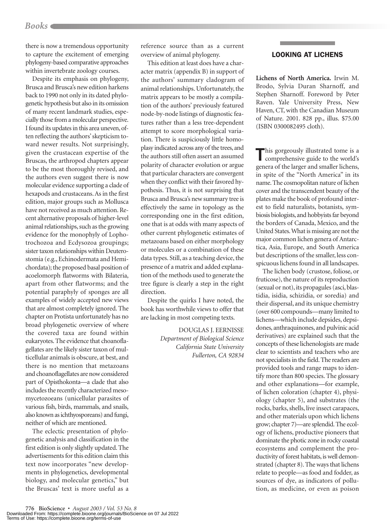## *Books*

there is now a tremendous opportunity to capture the excitement of emerging phylogeny-based comparative approaches within invertebrate zoology courses.

Despite its emphasis on phylogeny, Brusca and Brusca's new edition harkens back to 1990 not only in its dated phylogenetic hypothesis but also in its omission of many recent landmark studies, especially those from a molecular perspective. I found its updates in this area uneven, often reflecting the authors' skepticism toward newer results. Not surprisingly, given the crustacean expertise of the Bruscas, the arthropod chapters appear to be the most thoroughly revised, and the authors even suggest there is now molecular evidence supporting a clade of hexapods and crustaceans. As in the first edition, major groups such as Mollusca have not received as much attention. Recent alternative proposals of higher-level animal relationships, such as the growing evidence for the monophyly of Lophotrochozoa and Ecdysozoa groupings; sister taxon relationships within Deuterostomia (e.g., Echinodermata and Hemichordata); the proposed basal position of acoelomorph flatworms with Bilateria, apart from other flatworms; and the potential paraphyly of sponges are all examples of widely accepted new views that are almost completely ignored. The chapter on Protista unfortunately has no broad phylogenetic overview of where the covered taxa are found within eukaryotes. The evidence that choanoflagellates are the likely sister taxon of multicellular animals is obscure, at best, and there is no mention that metazoans and choanoflagellates are now considered part of Opisthokonta—a clade that also includes the recently characterized mesomycetozoeans (unicellular parasites of various fish, birds, mammals, and snails, also known as ichthyosporeans) and fungi, neither of which are mentioned.

The eclectic presentation of phylogenetic analysis and classification in the first edition is only slightly updated. The advertisements for this edition claim this text now incorporates "new developments in phylogenetics, developmental biology, and molecular genetics," but the Bruscas' text is more useful as a

reference source than as a current overview of animal phylogeny.

This edition at least does have a character matrix (appendix B) in support of the authors' summary cladogram of animal relationships. Unfortunately, the matrix appears to be mostly a compilation of the authors' previously featured node-by-node listings of diagnostic features rather than a less tree-dependent attempt to score morphological variation. There is suspiciously little homoplasy indicated across any of the trees, and the authors still often assert an assumed polarity of character evolution or argue that particular characters are convergent when they conflict with their favored hypothesis. Thus, it is not surprising that Brusca and Brusca's new summary tree is effectively the same in topology as the corresponding one in the first edition, one that is at odds with many aspects of other current phylogenetic estimates of metazoans based on either morphology or molecules or a combination of these data types. Still, as a teaching device, the presence of a matrix and added explanation of the methods used to generate the tree figure is clearly a step in the right direction.

Despite the quirks I have noted, the book has worthwhile views to offer that are lacking in most competing texts.

> DOUGLAS J. EERNISSE *Department of Biological Science California State University Fullerton, CA 92834*

#### LOOKING AT LICHENS

**Lichens of North America.** Irwin M. Brodo, Sylvia Duran Sharnoff, and Stephen Sharnoff. Foreword by Peter Raven. Yale University Press, New Haven, CT, with the Canadian Museum of Nature. 2001. 828 pp., illus. \$75.00 (ISBN 0300082495 cloth).

This gorgeously illustrated tome is a comprehensive guide to the world's genera of the larger and smaller lichens, in spite of the "North America" in its name. The cosmopolitan nature of lichen cover and the transcendent beauty of the plates make the book of profound interest to field naturalists, botanists, symbiosis biologists, and hobbyists far beyond the borders of Canada, Mexico, and the United States.What is missing are not the major common lichen genera of Antarctica, Asia, Europe, and South America but descriptions of the smaller, less conspicuous lichens found in all landscapes.

The lichen body (crustose, foliose, or fruticose), the nature of its reproduction (sexual or not), its propagules (asci, blastidia, isidia, schizidia, or soredia) and their dispersal, and its unique chemistry (over 600 compounds—many limited to lichens—which include depsides, depsidones, anthraquinones, and pulvinic acid derivatives) are explained such that the concepts of these lichenologists are made clear to scientists and teachers who are not specialists in the field. The readers are provided tools and range maps to identify more than 800 species. The glossary and other explanations—for example, of lichen coloration (chapter 4), physiology (chapter 5), and substrates (the rocks, barks, shells, live insect carapaces, and other materials upon which lichens grow; chapter 7)—are splendid. The ecology of lichens, productive pioneers that dominate the photic zone in rocky coastal ecosystems and complement the productivity of forest habitats, is well demonstrated (chapter 8). The ways that lichens relate to people—as food and fodder, as sources of dye, as indicators of pollution, as medicine, or even as poison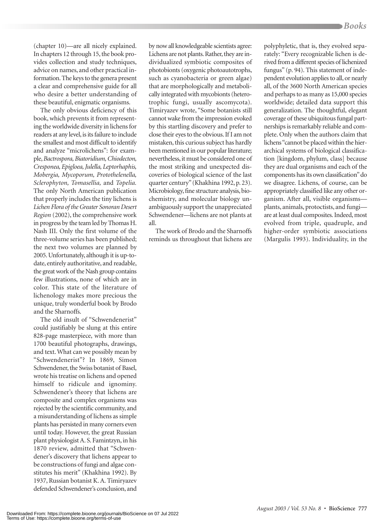(chapter 10)—are all nicely explained. In chapters 12 through 15, the book provides collection and study techniques, advice on names, and other practical information. The keys to the genera present a clear and comprehensive guide for all who desire a better understanding of these beautiful, enigmatic organisms.

The only obvious deficiency of this book, which prevents it from representing the worldwide diversity in lichens for readers at any level, is its failure to include the smallest and most difficult to identify and analyze "microlichens": for example,*Bactrospora, Biatoridium, Chiodecton, Cresponea, Epigloea, Julella, Leptorhaphis, Mobergia, Mycoporum, Protothelenella, Sclerophyton, Tomasellia,* and *Topelia.* The only North American publication that properly includes the tiny lichens is *Lichen Flora of the Greater Sonoran Desert Region* (2002), the comprehensive work in progress by the team led by Thomas H. Nash III. Only the first volume of the three-volume series has been published; the next two volumes are planned by 2005. Unfortunately, although it is up-todate, entirely authoritative, and readable, the great work of the Nash group contains few illustrations, none of which are in color. This state of the literature of lichenology makes more precious the unique, truly wonderful book by Brodo and the Sharnoffs.

The old insult of "Schwendenerist" could justifiably be slung at this entire 828-page masterpiece, with more than 1700 beautiful photographs, drawings, and text. What can we possibly mean by "Schwendenerist"? In 1869, Simon Schwendener, the Swiss botanist of Basel, wrote his treatise on lichens and opened himself to ridicule and ignominy. Schwendener's theory that lichens are composite and complex organisms was rejected by the scientific community, and a misunderstanding of lichens as simple plants has persisted in many corners even until today. However, the great Russian plant physiologist A. S. Famintzyn, in his 1870 review, admitted that "Schwendener's discovery that lichens appear to be constructions of fungi and algae constitutes his merit" (Khakhina 1992). By 1937, Russian botanist K. A. Timiryazev defended Schwendener's conclusion, and

by now all knowledgeable scientists agree: Lichens are not plants. Rather, they are individualized symbiotic composites of photobionts (oxygenic photoautotrophs, such as cyanobacteria or green algae) that are morphologically and metabolically integrated with mycobionts (heterotrophic fungi, usually ascomycota). Timiryazev wrote, "Some botanists still cannot wake from the impression evoked by this startling discovery and prefer to close their eyes to the obvious. If I am not mistaken, this curious subject has hardly been mentioned in our popular literature; nevertheless, it must be considered one of the most striking and unexpected discoveries of biological science of the last quarter century"(Khakhina 1992, p. 23). Microbiology, fine structure analysis, biochemistry, and molecular biology unambiguously support the unappreciated Schwendener—lichens are not plants at all.

The work of Brodo and the Sharnoffs reminds us throughout that lichens are polyphyletic, that is, they evolved separately: "Every recognizable lichen is derived from a different species of lichenized fungus" (p. 94). This statement of independent evolution applies to all, or nearly all, of the 3600 North American species and perhaps to as many as 15,000 species worldwide; detailed data support this generalization. The thoughtful, elegant coverage of these ubiquitous fungal partnerships is remarkably reliable and complete. Only when the authors claim that lichens "cannot be placed within the hierarchical systems of biological classification [kingdom, phylum, class] because they are dual organisms and each of the components has its own classification"do we disagree. Lichens, of course, can be appropriately classified like any other organism. After all, visible organisms plants, animals, protoctists, and fungi are at least dual composites. Indeed, most evolved from triple, quadruple, and higher-order symbiotic associations (Margulis 1993). Individuality, in the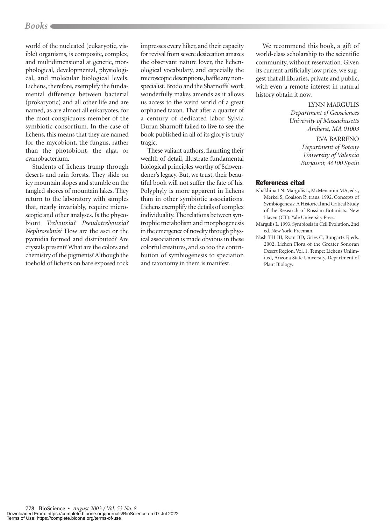## *Books*

world of the nucleated (eukaryotic, visible) organisms, is composite, complex, and multidimensional at genetic, morphological, developmental, physiological, and molecular biological levels. Lichens, therefore, exemplify the fundamental difference between bacterial (prokaryotic) and all other life and are named, as are almost all eukaryotes, for the most conspicuous member of the symbiotic consortium. In the case of lichens, this means that they are named for the mycobiont, the fungus, rather than the photobiont, the alga, or cyanobacterium.

Students of lichens tramp through deserts and rain forests. They slide on icy mountain slopes and stumble on the tangled shores of mountain lakes. They return to the laboratory with samples that, nearly invariably, require microscopic and other analyses. Is the phycobiont *Trebouxia? Pseudotrebouxia? Nephroselmis?* How are the asci or the pycnidia formed and distributed? Are crystals present? What are the colors and chemistry of the pigments? Although the toehold of lichens on bare exposed rock

impresses every hiker, and their capacity for revival from severe desiccation amazes the observant nature lover, the lichenological vocabulary, and especially the microscopic descriptions, baffle any nonspecialist. Brodo and the Sharnoffs' work wonderfully makes amends as it allows us access to the weird world of a great orphaned taxon. That after a quarter of a century of dedicated labor Sylvia Duran Sharnoff failed to live to see the book published in all of its glory is truly tragic.

These valiant authors, flaunting their wealth of detail, illustrate fundamental biological principles worthy of Schwendener's legacy. But, we trust, their beautiful book will not suffer the fate of his. Polyphyly is more apparent in lichens than in other symbiotic associations. Lichens exemplify the details of complex individuality. The relations between syntrophic metabolism and morphogenesis in the emergence of novelty through physical association is made obvious in these colorful creatures, and so too the contribution of symbiogenesis to speciation and taxonomy in them is manifest.

We recommend this book, a gift of world-class scholarship to the scientific community, without reservation. Given its current artificially low price, we suggest that all libraries, private and public, with even a remote interest in natural history obtain it now.

> LYNN MARGULIS *Department of Geosciences University of Massachusetts Amherst, MA 01003*

#### EVA BARRENO *Department of Botany University of Valencia Burjassot, 46100 Spain*

#### References cited

- Khakhina LN. Margulis L, McMenamin MA, eds., Merkel S, Coalson R, trans. 1992. Concepts of Symbiogenesis: A Historical and Critical Study of the Research of Russian Botanists. New Haven (CT): Yale University Press.
- Margulis L. 1993. Symbiosis in Cell Evolution. 2nd ed. New York: Freeman.
- Nash TH III, Ryan BD, Gries C, Bungartz F, eds. 2002. Lichen Flora of the Greater Sonoran Desert Region, Vol. 1. Tempe: Lichens Unlimited, Arizona State University, Department of Plant Biology.